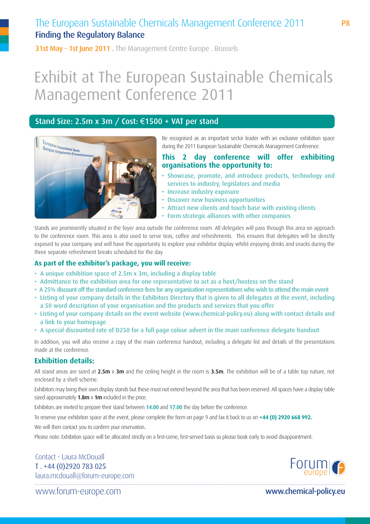## The European Sustainable Chemicals Management Conference 2011 Finding the Regulatory Balance

31st May - 1st June 2011. The Management Centre Europe . Brussels

# Exhibit at The European Sustainable Chemicals Management Conference 2011

#### Stand Size: 2.5m x 3m / Cost: €1500 + VAT per stand



Be recognised as an important sector leader with an exclusive exhibition space during the 2011 European Sustainable Chemicals Management Conference.

#### **This 2 day conference will offer exhibiting organisations the opportunity to:**

- Showcase, promote, and introduce products, technology and services to industry, legislators and media
- Increase industry exposure
- Discover new business opportunities
- Attract new clients and touch base with existing clients
- Form strategic alliances with other companies

Stands are prominently situated in the foyer area outside the conference room. All delegates will pass through this area on approach to the conference room. This area is also used to serve teas, coffee and refreshments. This ensures that delegates will be directly exposed to your company and will have the opportunity to explore your exhibitor display whilst enjoying drinks and snacks during the three separate refreshment breaks scheduled for the day.

#### **As part of the exhibitor's package, you will receive:**

- A unique exhibition space of 2.5m x 3m, including a display table
- Admittance to the exhibition area for one representative to act as a host/hostess on the stand
- A 25% discount off the standard conference fees for any organisation representatives who wish to attend the main event
- Listing of your company details in the Exhibitors Directory that is given to all delegates at the event, including a 50 word description of your organisation and the products and services that you offer
- Listing of your company details on the event website (www.chemical-policy.eu) along with contact details and a link to your homepage
- A special discounted rate of Đ250 for a full page colour advert in the main conference delegate handout

In addition, you will also receive a copy of the main conference handout, including a delegate list and details of the presentations made at the conference.

### **Exhibition details:**

All stand areas are sized at  $2.5m \times 3m$  and the ceiling height in the room is  $3.5m$ . The exhibition will be of a table top nature, not enclosed by a shell scheme.

Exhibitors may bring their own display stands but these must not extend beyond the area that has been reserved. All spaces have a display table sized approximately  $1.8m \times 1m$  included in the price.

Exhibitors are invited to prepare their stand between 14.00 and 17.00 the day before the conference.

To reserve your exhibition space at the event, please complete the form on page 9 and fax it back to us on **+44 (0) 2920 668 992.**

We will then contact you to confirm your reservation..

Please note: Exhibition space will be allocated strictly on a first-come, first-served basis so please book early to avoid disappointment.

Contact - Laura McDouall T . +44 (0)2920 783 025 laura.mcdouall@forum-europe.com



www.forum-europe.com www.chemical-policy.eu